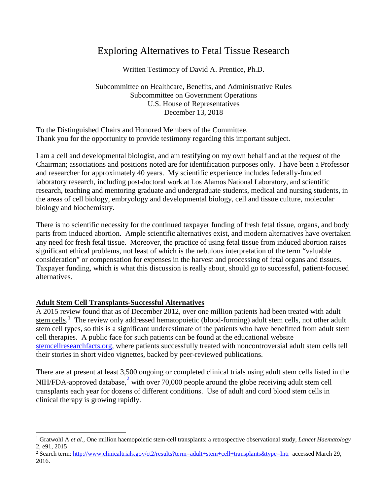# Exploring Alternatives to Fetal Tissue Research

Written Testimony of David A. Prentice, Ph.D.

Subcommittee on Healthcare, Benefits, and Administrative Rules Subcommittee on Government Operations U.S. House of Representatives December 13, 2018

To the Distinguished Chairs and Honored Members of the Committee. Thank you for the opportunity to provide testimony regarding this important subject.

I am a cell and developmental biologist, and am testifying on my own behalf and at the request of the Chairman; associations and positions noted are for identification purposes only. I have been a Professor and researcher for approximately 40 years. My scientific experience includes federally-funded laboratory research, including post-doctoral work at Los Alamos National Laboratory, and scientific research, teaching and mentoring graduate and undergraduate students, medical and nursing students, in the areas of cell biology, embryology and developmental biology, cell and tissue culture, molecular biology and biochemistry.

There is no scientific necessity for the continued taxpayer funding of fresh fetal tissue, organs, and body parts from induced abortion. Ample scientific alternatives exist, and modern alternatives have overtaken any need for fresh fetal tissue. Moreover, the practice of using fetal tissue from induced abortion raises significant ethical problems, not least of which is the nebulous interpretation of the term "valuable consideration" or compensation for expenses in the harvest and processing of fetal organs and tissues. Taxpayer funding, which is what this discussion is really about, should go to successful, patient-focused alternatives.

# **Adult Stem Cell Transplants-Successful Alternatives**

A 2015 review found that as of December 2012, over one million patients had been treated with adult stem cells.<sup>[1](#page-0-0)</sup> The review only addressed hematopoietic (blood-forming) adult stem cells, not other adult stem cell types, so this is a significant underestimate of the patients who have benefitted from adult stem cell therapies. A public face for such patients can be found at the educational website [stemcellresearchfacts.org,](http://www.stemcellresearchfacts.org/) where patients successfully treated with noncontroversial adult stem cells tell their stories in short video vignettes, backed by peer-reviewed publications.

There are at present at least 3,500 ongoing or completed clinical trials using adult stem cells listed in the NIH/FDA-approved database,  $2\pi$  $2\pi$  with over 70,000 people around the globe receiving adult stem cell transplants each year for dozens of different conditions. Use of adult and cord blood stem cells in clinical therapy is growing rapidly.

<span id="page-0-0"></span> <sup>1</sup> Gratwohl A *et al.*, One million haemopoietic stem-cell transplants: a retrospective observational study, *Lancet Haematology* 2, e91, 2015

<span id="page-0-1"></span><sup>&</sup>lt;sup>2</sup> Search term[: http://www.clinicaltrials.gov/ct2/results?term=adult+stem+cell+transplants&type=Intr](http://www.clinicaltrials.gov/ct2/results?term=adult+stem+cell+transplants&type=Intr) accessed March 29, 2016.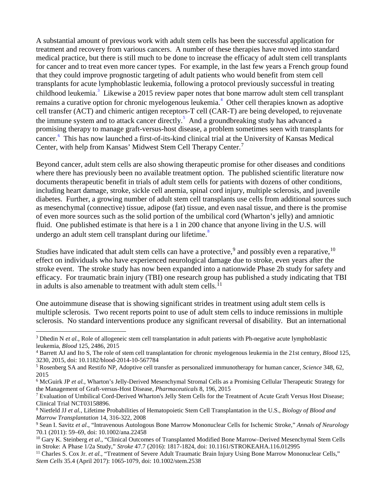A substantial amount of previous work with adult stem cells has been the successful application for treatment and recovery from various cancers. A number of these therapies have moved into standard medical practice, but there is still much to be done to increase the efficacy of adult stem cell transplants for cancer and to treat even more cancer types. For example, in the last few years a French group found that they could improve prognostic targeting of adult patients who would benefit from stem cell transplants for acute lymphoblastic leukemia, following a protocol previously successful in treating childhood leukemia.<sup>[3](#page-1-0)</sup> Likewise a 2015 review paper notes that bone marrow adult stem cell transplant remains a curative option for chronic myelogenous leukemia.<sup>[4](#page-1-1)</sup> Other cell therapies known as adoptive cell transfer (ACT) and chimeric antigen receptors-T cell (CAR-T) are being developed, to rejuvenate the immune system and to attack cancer directly.<sup>[5](#page-1-2)</sup> And a groundbreaking study has advanced a promising therapy to manage graft-versus-host disease, a problem sometimes seen with transplants for cancer.<sup>[6](#page-1-3)</sup> This has now launched a first-of-its-kind clinical trial at the University of Kansas Medical Center, with help from Kansas' Midwest Stem Cell Therapy Center.<sup>[7](#page-1-4)</sup>

Beyond cancer, adult stem cells are also showing therapeutic promise for other diseases and conditions where there has previously been no available treatment option. The published scientific literature now documents therapeutic benefit in trials of adult stem cells for patients with dozens of other conditions, including heart damage, stroke, sickle cell anemia, spinal cord injury, multiple sclerosis, and juvenile diabetes. Further, a growing number of adult stem cell transplants use cells from additional sources such as mesenchymal (connective) tissue, adipose (fat) tissue, and even nasal tissue, and there is the promise of even more sources such as the solid portion of the umbilical cord (Wharton's jelly) and amniotic fluid. One published estimate is that here is a 1 in 200 chance that anyone living in the U.S. will undergo an adult stem cell transplant during our lifetime.<sup>[8](#page-1-5)</sup>

Studies have indicated that adult stem cells can have a protective,  $9$  and possibly even a reparative,  $10$ effect on individuals who have experienced neurological damage due to stroke, even years after the stroke event. The stroke study has now been expanded into a nationwide Phase 2b study for safety and efficacy. For traumatic brain injury (TBI) one research group has published a study indicating that TBI in adults is also amenable to treatment with adult stem cells.<sup>[11](#page-1-8)</sup>

One autoimmune disease that is showing significant strides in treatment using adult stem cells is multiple sclerosis. Two recent reports point to use of adult stem cells to induce remissions in multiple sclerosis. No standard interventions produce any significant reversal of disability. But an international

<span id="page-1-7"></span><sup>10</sup> Gary K. Steinberg *et al*., "Clinical Outcomes of Transplanted Modified Bone Marrow–Derived Mesenchymal Stem Cells in Stroke: A Phase 1/2a Study," *Stroke* 47.7 (2016): 1817-1824, doi: 10.1161/STROKEAHA.116.012995

<span id="page-1-0"></span><sup>&</sup>lt;sup>3</sup> Dhedin N *et al.*, Role of allogeneic stem cell transplantation in adult patients with Ph-negative acute lymphoblastic leukemia, *Blood* 125, 2486, 2015

<span id="page-1-1"></span><sup>4</sup> Barrett AJ and Ito S, The role of stem cell transplantation for chronic myelogenous leukemia in the 21st century, *Blood* 125, 3230, 2015, doi: 10.1182/blood-2014-10-567784

<span id="page-1-2"></span><sup>5</sup> Rosenberg SA and Restifo NP, Adoptive cell transfer as personalized immunotherapy for human cancer, *Science* 348, 62, 2015

<span id="page-1-3"></span><sup>6</sup> McGuirk JP *et al.*, Wharton's Jelly-Derived Mesenchymal Stromal Cells as a Promising Cellular Therapeutic Strategy for the Management of Graft-versus-Host Disease, *Pharmaceuticals* 8, 196, 2015

<span id="page-1-4"></span><sup>&</sup>lt;sup>7</sup> Evaluation of Umbilical Cord-Derived Wharton's Jelly Stem Cells for the Treatment of Acute Graft Versus Host Disease; Clinical Trial NCT03158896.

<span id="page-1-5"></span><sup>8</sup> Nietfeld JJ *et al.*, Lifetime Probabilities of Hematopoietic Stem Cell Transplantation in the U.S., *Biology of Blood and Marrow Transplantation* 14, 316-322, 2008

<span id="page-1-6"></span><sup>9</sup> Sean I. Savitz *et al*., "Intravenous Autologous Bone Marrow Mononuclear Cells for Ischemic Stroke," *Annals of Neurology* 70.1 (2011): 59–69, doi: 10.1002/ana.22458

<span id="page-1-8"></span><sup>&</sup>lt;sup>11</sup> Charles S. Cox Jr. *et al.*, "Treatment of Severe Adult Traumatic Brain Injury Using Bone Marrow Mononuclear Cells," *Stem Cells* 35.4 (April 2017): 1065-1079, doi: 10.1002/stem.2538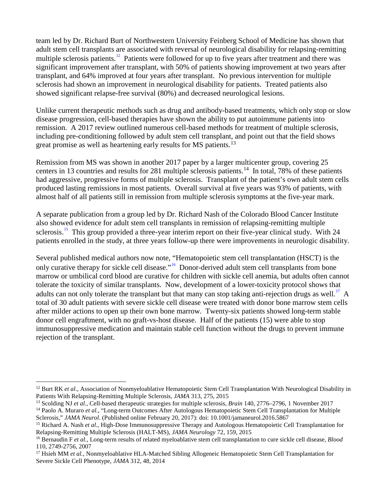team led by Dr. Richard Burt of Northwestern University Feinberg School of Medicine has shown that adult stem cell transplants are associated with reversal of neurological disability for relapsing-remitting multiple sclerosis patients.<sup>[12](#page-2-0)</sup> Patients were followed for up to five years after treatment and there was significant improvement after transplant, with 50% of patients showing improvement at two years after transplant, and 64% improved at four years after transplant. No previous intervention for multiple sclerosis had shown an improvement in neurological disability for patients. Treated patients also showed significant relapse-free survival (80%) and decreased neurological lesions.

Unlike current therapeutic methods such as drug and antibody-based treatments, which only stop or slow disease progression, cell-based therapies have shown the ability to put autoimmune patients into remission. A 2017 review outlined numerous cell-based methods for treatment of multiple sclerosis, including pre-conditioning followed by adult stem cell transplant, and point out that the field shows great promise as well as heartening early results for MS patients.<sup>[13](#page-2-1)</sup>

Remission from MS was shown in another 2017 paper by a larger multicenter group, covering 25 centers in 13 countries and results for 281 multiple sclerosis patients.<sup>14</sup> In total, 78% of these patients had aggressive, progressive forms of multiple sclerosis. Transplant of the patient's own adult stem cells produced lasting remissions in most patients. Overall survival at five years was 93% of patients, with almost half of all patients still in remission from multiple sclerosis symptoms at the five-year mark.

A separate publication from a group led by Dr. Richard Nash of the Colorado Blood Cancer Institute also showed evidence for adult stem cell transplants in remission of relapsing-remitting multiple sclerosis.<sup>[15](#page-2-3)</sup> This group provided a three-year interim report on their five-year clinical study. With 24 patients enrolled in the study, at three years follow-up there were improvements in neurologic disability.

Several published medical authors now note, "Hematopoietic stem cell transplantation (HSCT) is the only curative therapy for sickle cell disease."<sup>16</sup> Donor-derived adult stem cell transplants from bone marrow or umbilical cord blood are curative for children with sickle cell anemia, but adults often cannot tolerate the toxicity of similar transplants. Now, development of a lower-toxicity protocol shows that adults can not only tolerate the transplant but that many can stop taking anti-rejection drugs as well.<sup>[17](#page-2-5)</sup> A total of 30 adult patients with severe sickle cell disease were treated with donor bone marrow stem cells after milder actions to open up their own bone marrow. Twenty-six patients showed long-term stable donor cell engraftment, with no graft-vs-host disease. Half of the patients (15) were able to stop immunosuppressive medication and maintain stable cell function without the drugs to prevent immune rejection of the transplant.

<span id="page-2-0"></span><sup>&</sup>lt;sup>12</sup> Burt RK *et al.*, Association of Nonmyeloablative Hematopoietic Stem Cell Transplantation With Neurological Disability in Patients With Relapsing-Remitting Multiple Sclerosis, *JAMA* 313, 275, 2015

<span id="page-2-1"></span><sup>13</sup> Scolding NJ *et al.*, Cell-based therapeutic strategies for multiple sclerosis, *Brain* 140, 2776–2796, 1 November 2017

<span id="page-2-2"></span><sup>&</sup>lt;sup>14</sup> Paolo A. Muraro *et al.*, "Long-term Outcomes After Autologous Hematopoietic Stem Cell Transplantation for Multiple Sclerosis," *JAMA Neurol*. (Published online February 20, 2017): doi: 10.1001/jamaneurol.2016.5867

<span id="page-2-3"></span><sup>15</sup> Richard A. Nash *et al*., High-Dose Immunosuppressive Therapy and Autologous Hematopoietic Cell Transplantation for Relapsing-Remitting Multiple Sclerosis (HALT-MS), *JAMA Neurology* 72, 159, 2015

<span id="page-2-4"></span><sup>16</sup> Bernaudin F *et al.*, Long-term results of related myeloablative stem cell transplantation to cure sickle cell disease, *Blood* 110, 2749-2756, 2007

<span id="page-2-5"></span><sup>&</sup>lt;sup>17</sup> Hsieh MM et al., Nonmyeloablative HLA-Matched Sibling Allogeneic Hematopoietic Stem Cell Transplantation for Severe Sickle Cell Phenotype, *JAMA* 312, 48, 2014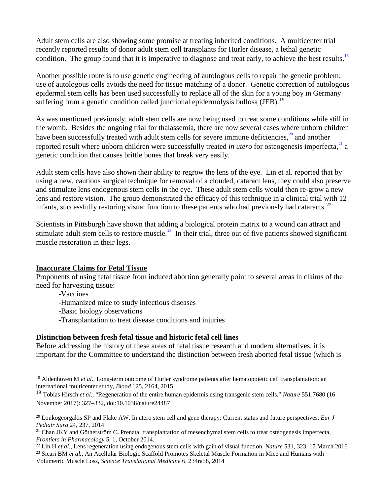Adult stem cells are also showing some promise at treating inherited conditions. A multicenter trial recently reported results of donor adult stem cell transplants for Hurler disease, a lethal genetic condition. The group found that it is imperative to diagnose and treat early, to achieve the best results.<sup>[18](#page-3-0)</sup>

Another possible route is to use genetic engineering of autologous cells to repair the genetic problem; use of autologous cells avoids the need for tissue matching of a donor. Genetic correction of autologous epidermal stem cells has been used successfully to replace all of the skin for a young boy in Germany suffering from a genetic condition called junctional epidermolysis bullosa (JEB).<sup>[19](#page-3-1)</sup>

As was mentioned previously, adult stem cells are now being used to treat some conditions while still in the womb. Besides the ongoing trial for thalassemia, there are now several cases where unborn children have been successfully treated with adult stem cells for severe immune deficiencies,<sup>[20](#page-3-2)</sup> and another reported result where unborn children were successfully treated *in utero* for osteogenesis imperfecta,<sup>[21](#page-3-3)</sup> a genetic condition that causes brittle bones that break very easily.

Adult stem cells have also shown their ability to regrow the lens of the eye. Lin et al. reported that by using a new, cautious surgical technique for removal of a clouded, cataract lens, they could also preserve and stimulate lens endogenous stem cells in the eye. These adult stem cells would then re-grow a new lens and restore vision. The group demonstrated the efficacy of this technique in a clinical trial with 12 infants, successfully restoring visual function to these patients who had previously had cataracts.<sup>[22](#page-3-4)</sup>

Scientists in Pittsburgh have shown that adding a biological protein matrix to a wound can attract and stimulate adult stem cells to restore muscle. $^{23}$  $^{23}$  $^{23}$  In their trial, three out of five patients showed significant muscle restoration in their legs.

# **Inaccurate Claims for Fetal Tissue**

Proponents of using fetal tissue from induced abortion generally point to several areas in claims of the need for harvesting tissue:

-Vaccines

-Humanized mice to study infectious diseases

-Basic biology observations

-Transplantation to treat disease conditions and injuries

# **Distinction between fresh fetal tissue and historic fetal cell lines**

Before addressing the history of these areas of fetal tissue research and modern alternatives, it is important for the Committee to understand the distinction between fresh aborted fetal tissue (which is

<span id="page-3-0"></span><sup>&</sup>lt;sup>18</sup> Aldenhoven M et al., Long-term outcome of Hurler syndrome patients after hematopoietic cell transplantation: an international multicenter study, *Blood* 125, 2164, 2015

<span id="page-3-1"></span><sup>19</sup> Tobias Hirsch *et al*., "Regeneration of the entire human epidermis using transgenic stem cells," *Nature* 551.7680 (16 November 2017): 327–332, doi:10.1038/nature24487

<span id="page-3-2"></span><sup>20</sup> Loukogeorgakis SP and Flake AW. In utero stem cell and gene therapy: Current status and future perspectives, *Eur J Pediatr Surg* 24, 237, 2014

<span id="page-3-3"></span><sup>21</sup> Chan JKY and Götherström C**.** Prenatal transplantation of mesenchymal stem cells to treat osteogenesis imperfecta, *Frontiers in Pharmacology* 5, 1, October 2014.

<span id="page-3-4"></span><sup>22</sup> Lin H *et al.*, Lens regeneration using endogenous stem cells with gain of visual function, *Nature* 531, 323, 17 March 2016

<span id="page-3-5"></span><sup>&</sup>lt;sup>23</sup> Sicari BM *et al.*, An Acellular Biologic Scaffold Promotes Skeletal Muscle Formation in Mice and Humans with Volumetric Muscle Loss, *Science Translational Medicine* 6, 234ra58, 2014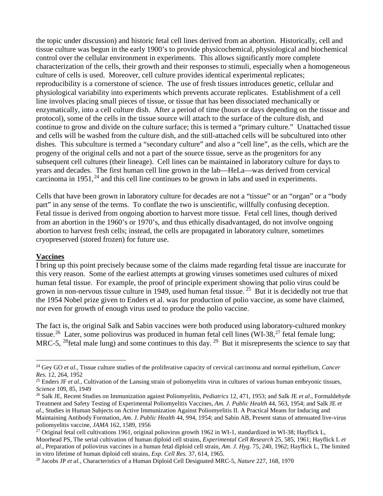the topic under discussion) and historic fetal cell lines derived from an abortion. Historically, cell and tissue culture was begun in the early 1900's to provide physicochemical, physiological and biochemical control over the cellular environment in experiments. This allows significantly more complete characterization of the cells, their growth and their responses to stimuli, especially when a homogeneous culture of cells is used. Moreover, cell culture provides identical experimental replicates; reproducibility is a cornerstone of science. The use of fresh tissues introduces genetic, cellular and physiological variability into experiments which prevents accurate replicates. Establishment of a cell line involves placing small pieces of tissue, or tissue that has been dissociated mechanically or enzymatically, into a cell culture dish. After a period of time (hours or days depending on the tissue and protocol), some of the cells in the tissue source will attach to the surface of the culture dish, and continue to grow and divide on the culture surface; this is termed a "primary culture." Unattached tissue and cells will be washed from the culture dish, and the still-attached cells will be subcultured into other dishes. This subculture is termed a "secondary culture" and also a "cell line", as the cells, which are the progeny of the original cells and not a part of the source tissue, serve as the progenitors for any subsequent cell cultures (their lineage). Cell lines can be maintained in laboratory culture for days to years and decades. The first human cell line grown in the lab—HeLa—was derived from cervical carcinoma in  $1951$ ,<sup>[24](#page-4-0)</sup> and this cell line continues to be grown in labs and used in experiments.

Cells that have been grown in laboratory culture for decades are not a "tissue" or an "organ" or a "body part" in any sense of the terms. To conflate the two is unscientific, willfully confusing deception. Fetal tissue is derived from ongoing abortion to harvest more tissue. Fetal cell lines, though derived from an abortion in the 1960's or 1970's, and thus ethically disadvantaged, do not involve ongoing abortion to harvest fresh cells; instead, the cells are propagated in laboratory culture, sometimes cryopreserved (stored frozen) for future use.

#### **Vaccines**

I bring up this point precisely because some of the claims made regarding fetal tissue are inaccurate for this very reason. Some of the earliest attempts at growing viruses sometimes used cultures of mixed human fetal tissue. For example, the proof of principle experiment showing that polio virus could be grown in non-nervous tissue culture in 1949, used human fetal tissue. [25](#page-4-1) But it is decidedly not true that the 1954 Nobel prize given to Enders et al. was for production of polio vaccine, as some have claimed, nor even for growth of enough virus used to produce the polio vaccine.

<span id="page-4-5"></span>The fact is, the original Salk and Sabin vaccines were both produced using laboratory-cultured monkey tissue.<sup>[26](#page-4-2)</sup> Later, some poliovirus was produced in human fetal cell lines (WI-38,<sup>[27](#page-4-3)</sup> fetal female lung; MRC-5, <sup>28</sup>fetal male lung) and some continues to this day. <sup>[29](#page-4-5)</sup> But it misrepresents the science to say that

<span id="page-4-0"></span> <sup>24</sup> Gey GO *et al.*, Tissue culture studies of the proliferative capacity of cervical carcinoma and normal epithelium, *Cancer Res.* 12, 264, 1952

<span id="page-4-1"></span><sup>&</sup>lt;sup>25</sup> Enders JF *et al.*, Cultivation of the Lansing strain of poliomyelitis virus in cultures of various human embryonic tissues, *Science* 109, 85, 1949

<span id="page-4-2"></span><sup>26</sup> Salk JE, Recent Studies on Immunization against Poliomyelitis, *Pediatrics* 12, 471, 1953; and Salk JE *et al*., Formaldehyde Treatment and Safety Testing of Experimental Poliomyelitis Vaccines, *Am. J. Public Health* 44, 563, 1954; and Salk JE *et al*., Studies in Human Subjects on Active Immunization Against Poliomyelitis II. A Practical Means for Inducing and Maintaining Antibody Formation, *Am. J. Public Health* 44, 994, 1954; and Sabin AB, Present status of attenuated live-virus poliomyelitis vaccine, *JAMA* 162, 1589, 1956

<span id="page-4-3"></span> $^{27}$  Original fetal cell cultivations 1961, original poliovirus growth 1962 in WI-1, standardized in WI-38; Hayflick L, Moorhead PS, The serial cultivation of human diploid cell strains, *Experimental Cell Research* 25, 585, 1961; Hayflick L *et al*., Preparation of poliovirus vaccines in a human fetal diploid cell strain, *Am. J. Hyg.* 75, 240, 1962; Hayflick L, The limited in vitro lifetime of human diploid cell strains, *Exp. Cell Res.* 37, 614, 1965.

<span id="page-4-4"></span><sup>28</sup> Jacobs JP *et al.*, Characteristics of a Human Diploid Cell Designated MRC-5, *Nature* 227, 168, 1970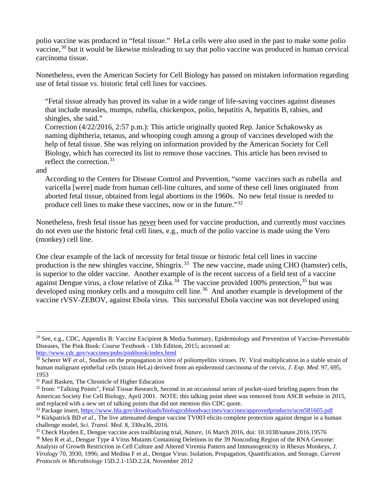polio vaccine was produced in "fetal tissue." HeLa cells were also used in the past to make some polio vaccine,<sup>[30](#page-5-0)</sup> but it would be likewise misleading to say that polio vaccine was produced in human cervical carcinoma tissue.

Nonetheless, even the American Society for Cell Biology has passed on mistaken information regarding use of fetal tissue vs. historic fetal cell lines for vaccines.

"Fetal tissue already has proved its value in a wide range of life-saving vaccines against diseases that include measles, mumps, rubella, chickenpox, polio, hepatitis A, hepatitis B, rabies, and shingles, she said."

Correction (4/22/2016, 2:57 p.m.): This article originally quoted Rep. Janice Schakowsky as naming diphtheria, tetanus, and whooping cough among a group of vaccines developed with the help of fetal tissue. She was relying on information provided by the American Society for Cell Biology, which has corrected its list to remove those vaccines. This article has been revised to reflect the correction.  $31$ 

#### and

According to the Centers for Disease Control and Prevention, "some vaccines such as rubella and varicella [were] made from human cell-line cultures, and some of these cell lines originated from aborted fetal tissue, obtained from legal abortions in the 1960s. No new fetal tissue is needed to produce cell lines to make these vaccines, now or in the future."[32](#page-5-2)

Nonetheless, fresh fetal tissue has never been used for vaccine production, and currently most vaccines do not even use the historic fetal cell lines, e.g., much of the polio vaccine is made using the Vero (monkey) cell line.

One clear example of the lack of necessity for fetal tissue or historic fetal cell lines in vaccine production is the new shingles vaccine, Shingrix.<sup>[33](#page-5-3)</sup> The new vaccine, made using CHO (hamster) cells, is superior to the older vaccine. Another example of is the recent success of a field test of a vaccine against Dengue virus, a close relative of Zika.<sup>34</sup> The vaccine provided 100% protection,<sup>[35](#page-5-5)</sup> but was developed using monkey cells and a mosquito cell line.<sup>36</sup> And another example is development of the vaccine rVSV-ZEBOV, against Ebola virus. This successful Ebola vaccine was not developed using

```
http://www.cdc.gov/vaccines/pubs/pinkbook/index.html
```
<sup>&</sup>lt;sup>29</sup> See, e.g., CDC, Appendix B: Vaccine Excipient & Media Summary, Epidemiology and Prevention of Vaccine-Preventable Diseases, The Pink Book: Course Textbook - 13th Edition, 2015; accessed at:

<span id="page-5-0"></span><sup>&</sup>lt;sup>30</sup> Scherer WF *et al.*, Studies on the propagation in vitro of poliomyelitis viruses. IV. Viral multiplication in a stable strain of human malignant epithelial cells (strain HeLa) derived from an epidermoid carcinoma of the cervix, *J. Exp. Med*. 97, 695, 1953

<span id="page-5-1"></span><sup>&</sup>lt;sup>31</sup> Paul Basken, The Chronicle of Higher Education

<span id="page-5-2"></span><sup>&</sup>lt;sup>32</sup> from: "Talking Points", Fetal Tissue Research, Second in an occasional series of pocket-sized briefing papers from the American Society For Cell Biology, April 2001. NOTE: this talking point sheet was removed from ASCB website in 2015, and replaced with a new set of talking points that did not mention this CDC quote.

<span id="page-5-3"></span><sup>33</sup> Package insert[, https://www.fda.gov/downloads/biologicsbloodvaccines/vaccines/approvedproducts/ucm581605.pdf](https://www.fda.gov/downloads/biologicsbloodvaccines/vaccines/approvedproducts/ucm581605.pdf)

<span id="page-5-4"></span><sup>&</sup>lt;sup>34</sup> Kirkpatrick BD *et al.*, The live attenuated dengue vaccine TV003 elicits complete protection against dengue in a human challenge model, *Sci. Transl. Med*. 8, 330ra36, 2016.

<span id="page-5-5"></span><sup>35</sup> Check Hayden E, Dengue vaccine aces trailblazing trial, *Nature*, 16 March 2016, doi: 10.1038/nature.2016.19576 <sup>36</sup> Men R et al., Dengue Type 4 Virus Mutants Containing Deletions in the 39 Noncoding Region of the RNA Genome:

<span id="page-5-6"></span>Analysis of Growth Restriction in Cell Culture and Altered Viremia Pattern and Immunogenicity in Rhesus Monkeys, *J. Virology* 70, 3930, 1996; and Medina F et al., Dengue Virus: Isolation, Propagation, Quantification, and Storage, *Current Protocols in Microbiology* 15D.2.1-15D.2.24, November 2012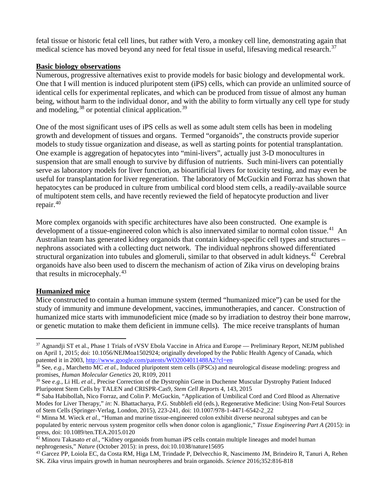fetal tissue or historic fetal cell lines, but rather with Vero, a monkey cell line, demonstrating again that medical science has moved beyond any need for fetal tissue in useful, lifesaving medical research.<sup>[37](#page-6-0)</sup>

#### **Basic biology observations**

Numerous, progressive alternatives exist to provide models for basic biology and developmental work. One that I will mention is induced pluripotent stem (iPS) cells, which can provide an unlimited source of identical cells for experimental replicates, and which can be produced from tissue of almost any human being, without harm to the individual donor, and with the ability to form virtually any cell type for study and modeling,  $38$  or potential clinical application.  $39$ 

One of the most significant uses of iPS cells as well as some adult stem cells has been in modeling growth and development of tissues and organs. Termed "organoids", the constructs provide superior models to study tissue organization and disease, as well as starting points for potential transplantation. One example is aggregation of hepatocytes into "mini-livers", actually just 3-D monocultures in suspension that are small enough to survive by diffusion of nutrients. Such mini-livers can potentially serve as laboratory models for liver function, as bioartificial livers for toxicity testing, and may even be useful for transplantation for liver regeneration. The laboratory of McGuckin and Forraz has shown that hepatocytes can be produced in culture from umbilical cord blood stem cells, a readily-available source of multipotent stem cells, and have recently reviewed the field of hepatocyte production and liver repair. $40$ 

More complex organoids with specific architectures have also been constructed. One example is development of a tissue-engineered colon which is also innervated similar to normal colon tissue.<sup>[41](#page-6-4)</sup> An Australian team has generated kidney organoids that contain kidney-specific cell types and structures – nephrons associated with a collecting duct network. The individual nephrons showed differentiated structural organization into tubules and glomeruli, similar to that observed in adult kidneys.<sup>[42](#page-6-5)</sup> Cerebral organoids have also been used to discern the mechanism of action of Zika virus on developing brains that results in microcephaly.<sup>[43](#page-6-6)</sup>

# **Humanized mice**

Mice constructed to contain a human immune system (termed "humanized mice") can be used for the study of immunity and immune development, vaccines, immunotherapies, and cancer. Construction of humanized mice starts with immunodeficient mice (made so by irradiation to destroy their bone marrow, or genetic mutation to make them deficient in immune cells). The mice receive transplants of human

<span id="page-6-0"></span><sup>&</sup>lt;sup>37</sup> Agnandji ST et al., Phase 1 Trials of rVSV Ebola Vaccine in Africa and Europe — Preliminary Report, NEJM published on April 1, 2015; doi: 10.1056/NEJMoa1502924; originally developed by the Public Health Agency of Canada, which patented it in 2003,<http://www.google.com/patents/WO2004011488A2?cl=en>

<span id="page-6-1"></span><sup>38</sup> See, *e.g.,* Marchetto MC *et al.*, Induced pluripotent stem cells (iPSCs) and neurological disease modeling: progress and promises, *Human Molecular Genetics* 20, R109, 2011

<span id="page-6-2"></span><sup>39</sup> See *e.g.,* Li HL *et al.*, Precise Correction of the Dystrophin Gene in Duchenne Muscular Dystrophy Patient Induced Pluripotent Stem Cells by TALEN and CRISPR-Cas9, *Stem Cell Reports* 4, 143, 2015

<span id="page-6-3"></span><sup>40</sup> Saba Habibollah, Nico Forraz, and Colin P. McGuckin, "Application of Umbilical Cord and Cord Blood as Alternative Modes for Liver Therapy," *in*: N. Bhattacharya, P.G. Stubblefi eld (eds.), Regenerative Medicine: Using Non-Fetal Sources of Stem Cells (Springer-Verlag, London, 2015), 223-241, doi: 10.1007/978-1-4471-6542-2\_22

<span id="page-6-4"></span><sup>&</sup>lt;sup>41</sup> Minna M. Wieck *et al.*, "Human and murine tissue-engineered colon exhibit diverse neuronal subtypes and can be populated by enteric nervous system progenitor cells when donor colon is aganglionic," *Tissue Engineering Part A* (2015): in press, doi: 10.1089/ten.TEA.2015.0120

<span id="page-6-5"></span><sup>42</sup> Minoru Takasato *et al*., "Kidney organoids from human iPS cells contain multiple lineages and model human nephrogenesis," *Nature* (October 2015): in press, doi:10.1038/nature15695

<span id="page-6-6"></span><sup>43</sup> Garcez PP, Loiola EC, da Costa RM, Higa LM, Trindade P, Delvecchio R, Nascimento JM, Brindeiro R, Tanuri A, Rehen SK. Zika virus impairs growth in human neurospheres and brain organoids. *Science* 2016;352:816-818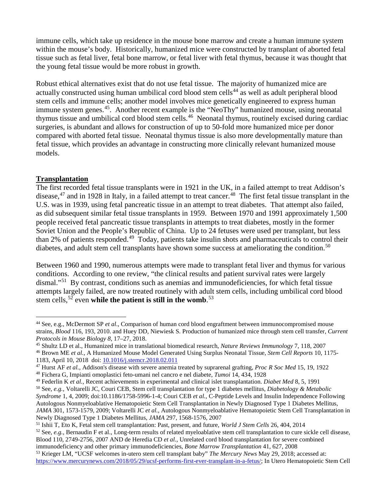immune cells, which take up residence in the mouse bone marrow and create a human immune system within the mouse's body. Historically, humanized mice were constructed by transplant of aborted fetal tissue such as fetal liver, fetal bone marrow, or fetal liver with fetal thymus, because it was thought that the young fetal tissue would be more robust in growth.

Robust ethical alternatives exist that do not use fetal tissue. The majority of humanized mice are actually constructed using human umbilical cord blood stem cells<sup>[44](#page-7-0)</sup> as well as adult peripheral blood stem cells and immune cells; another model involves mice genetically engineered to express human immune system genes.<sup>[45](#page-7-1)</sup>. Another recent example is the "NeoThy" humanized mouse, using neonatal thymus tissue and umbilical cord blood stem cells.<sup>46</sup> Neonatal thymus, routinely excised during cardiac surgeries, is abundant and allows for construction of up to 50-fold more humanized mice per donor compared with aborted fetal tissue. Neonatal thymus tissue is also more developmentally mature than fetal tissue, which provides an advantage in constructing more clinically relevant humanized mouse models.

#### **Transplantation**

The first recorded fetal tissue transplants were in 1921 in the UK, in a failed attempt to treat Addison's disease,  $47$  and in 1928 in Italy, in a failed attempt to treat cancer.  $48$  The first fetal tissue transplant in the U.S. was in 1939, using fetal pancreatic tissue in an attempt to treat diabetes. That attempt also failed, as did subsequent similar fetal tissue transplants in 1959. Between 1970 and 1991 approximately 1,500 people received fetal pancreatic tissue transplants in attempts to treat diabetes, mostly in the former Soviet Union and the People's Republic of China. Up to 24 fetuses were used per transplant, but less than 2% of patients responded.<sup>49</sup> Today, patients take insulin shots and pharmaceuticals to control their diabetes, and adult stem cell transplants have shown some success at ameliorating the condition.<sup>[50](#page-7-6)</sup>

Between 1960 and 1990, numerous attempts were made to transplant fetal liver and thymus for various conditions. According to one review, "the clinical results and patient survival rates were largely dismal."[51](#page-7-7) By contrast, conditions such as anemias and immunodeficiencies, for which fetal tissue attempts largely failed, are now treated routinely with adult stem cells, including umbilical cord blood stem cells, <sup>[52](#page-7-8)</sup> even **while the patient is still in the womb**. <sup>[53](#page-7-9)</sup>

<span id="page-7-0"></span> <sup>44</sup> See, e.g., McDermott SP *et al*., Comparison of human cord blood engraftment between immunocompromised mouse strains, *Blood* 116, 193, 2010. and Huey DD, Niewiesk S. Production of humanized mice through stem cell transfer, *Current* 

<span id="page-7-1"></span>*Protocols in Mouse Biology <sup>8</sup>*, 17–27, 2018. 45 Shultz LD et al., Humanized mice in translational biomedical research, *Nature Reviews Immunology* 7, 118, 2007

<span id="page-7-2"></span><sup>46</sup> Brown ME *et al.,* A Humanized Mouse Model Generated Using Surplus Neonatal Tissue, *Stem Cell Reports* 10, 1175- 1183, April 10, 2018 doi: [10.1016/j.stemcr.2018.02.011](https://doi.org/10.1016/j.stemcr.2018.02.011)

<span id="page-7-3"></span><sup>47</sup> Hurst AF *et al.*, Addison's disease with severe anemia treated by suprarenal grafting, *Proc R Soc Med* 15, 19, 1922

<span id="page-7-4"></span><sup>48</sup> Fichera G, Impianti omoplastici feto-umani nel cancro e nel diabete, *Tumoi* 14, 434, 1928

<span id="page-7-5"></span><sup>49</sup> Federlin K *et al.*, Recent achievements in experimental and clinical islet transplantation. *Diabet Med* 8, 5, 1991

<span id="page-7-6"></span><sup>50</sup> See, *e.g.,* Voltarelli JC, Couri CEB, Stem cell transplantation for type 1 diabetes mellitus, *Diabetology & Metabolic Syndrome* 1, 4, 2009; doi:10.1186/1758-5996-1-4; Couri CEB *et al.*, C-Peptide Levels and Insulin Independence Following Autologous Nonmyeloablative Hematopoietic Stem Cell Transplantation in Newly Diagnosed Type 1 Diabetes Mellitus, *JAMA* 301, 1573-1579, 2009; Voltarelli JC *et al.*, Autologous Nonmyeloablative Hematopoietic Stem Cell Transplantation in Newly Diagnosed Type 1 Diabetes Mellitus, *JAMA* 297, 1568-1576, 2007

<span id="page-7-7"></span><sup>51</sup> Ishii T, Eto K, Fetal stem cell transplantation: Past, present, and future, *World J Stem Cells* 26, 404, 2014

<span id="page-7-8"></span><sup>52</sup> See, *e.g.,* Bernaudin F et al., Long-term results of related myeloablative stem cell transplantation to cure sickle cell disease, Blood 110, 2749-2756, 2007 AND de Heredia CD *et al.*, Unrelated cord blood transplantation for severe combined immunodeficiency and other primary immunodeficiencies, *Bone Marrow Transplantation* 41, 627, 2008

<span id="page-7-9"></span><sup>53</sup> Krieger LM, "UCSF welcomes in-utero stem cell transplant baby" *The Mercury News* May 29, 2018; accessed at: [https://www.mercurynews.com/2018/05/29/ucsf-performs-first-ever-transplant-in-a-fetus/;](https://www.mercurynews.com/2018/05/29/ucsf-performs-first-ever-transplant-in-a-fetus/) In Utero Hematopoietic Stem Cell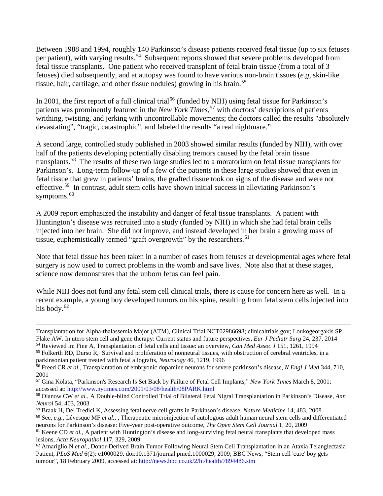Between 1988 and 1994, roughly 140 Parkinson's disease patients received fetal tissue (up to six fetuses per patient), with varying results.<sup>[54](#page-8-0)</sup> Subsequent reports showed that severe problems developed from fetal tissue transplants. One patient who received transplant of fetal brain tissue (from a total of 3 fetuses) died subsequently, and at autopsy was found to have various non-brain tissues (*e.g,* skin-like tissue, hair, cartilage, and other tissue nodules) growing in his brain.[55](#page-8-1)

In 2001, the first report of a full clinical trial<sup>[56](#page-8-2)</sup> (funded by NIH) using fetal tissue for Parkinson's patients was prominently featured in the *New York Times*, [57](#page-8-3) with doctors' descriptions of patients writhing, twisting, and jerking with uncontrollable movements; the doctors called the results "absolutely devastating", "tragic, catastrophic", and labeled the results "a real nightmare."

A second large, controlled study published in 2003 showed similar results (funded by NIH), with over half of the patients developing potentially disabling tremors caused by the fetal brain tissue transplants.[58](#page-8-4) The results of these two large studies led to a moratorium on fetal tissue transplants for Parkinson's. Long-term follow-up of a few of the patients in these large studies showed that even in fetal tissue that grew in patients' brains, the grafted tissue took on signs of the disease and were not effective.[59](#page-8-5) In contrast, adult stem cells have shown initial success in alleviating Parkinson's symptoms. $60$ 

A 2009 report emphasized the instability and danger of fetal tissue transplants. A patient with Huntington's disease was recruited into a study (funded by NIH) in which she had fetal brain cells injected into her brain. She did not improve, and instead developed in her brain a growing mass of tissue, euphemistically termed "graft overgrowth" by the researchers.<sup>[61](#page-8-7)</sup>

Note that fetal tissue has been taken in a number of cases from fetuses at developmental ages where fetal surgery is now used to correct problems in the womb and save lives. Note also that at these stages, science now demonstrates that the unborn fetus can feel pain.

While NIH does not fund any fetal stem cell clinical trials, there is cause for concern here as well. In a recent example, a young boy developed tumors on his spine, resulting from fetal stem cells injected into his body. $62$ 

Transplantation for Alpha-thalassemia Major (ATM), Clinical Trial NCT02986698; clinicaltrials.gov; Loukogeorgakis SP, Flake AW. In utero stem cell and gene therapy: Current status and future perspectives, *Eur J Pediatr Surg* 24, 237, 2014

<span id="page-8-0"></span><sup>54</sup> Reviewed in: Fine A, Transplantation of fetal cells and tissue: an overview, *Can Med Assoc J* 151, 1261, 1994

<span id="page-8-1"></span><sup>&</sup>lt;sup>55</sup> Folkerth RD, Durso R, Survival and proliferation of nonneural tissues, with obstruction of cerebral ventricles, in a parkinsonian patient treated with fetal allografts, *Neurology* 46, 1219, 1996

<span id="page-8-2"></span><sup>56</sup> Freed CR *et al.*, Transplantation of embryonic dopamine neurons for severe parkinson's disease, *N Engl J Med* 344, 710, 2001

<span id="page-8-3"></span><sup>57</sup> Gina Kolata, "Parkinson's Research Is Set Back by Failure of Fetal Cell Implants," *New York Times* March 8, 2001; accessed at[: http://www.nytimes.com/2001/03/08/health/08PARK.html](http://www.nytimes.com/2001/03/08/health/08PARK.html)

<span id="page-8-4"></span><sup>58</sup> Olanow CW *et al.*, A Double-blind Controlled Trial of Bilateral Fetal Nigral Transplantation in Parkinson's Disease, *Ann Neurol* 54, 403, 2003

<span id="page-8-5"></span><sup>59</sup> Braak H, Del Tredici K, Assessing fetal nerve cell grafts in Parkinson's disease, *Nature Medicine* 14, 483, 2008

<span id="page-8-6"></span><sup>60</sup> See, *e.g.,* Lévesque MF *et al.*, , Therapeutic microinjection of autologous adult human neural stem cells and differentiated neurons for Parkinson's disease: Five-year post-operative outcome, *The Open Stem Cell Journal* 1, 20, 2009

<span id="page-8-7"></span><sup>&</sup>lt;sup>61</sup> Keene CD *et al.*, A patient with Huntington's disease and long-surviving fetal neural transplants that developed mass lesions, *Acta Neuropathol* 117, 329, 2009

<span id="page-8-8"></span><sup>62</sup> Amariglio N *et al.*, Donor-Derived Brain Tumor Following Neural Stem Cell Transplantation in an Ataxia Telangiectasia Patient, *PLoS Med* 6(2): e1000029. doi:10.1371/journal.pmed.1000029, 2009; BBC News, "Stem cell 'cure' boy gets tumour", 18 February 2009, accessed at:<http://news.bbc.co.uk/2/hi/health/7894486.stm>